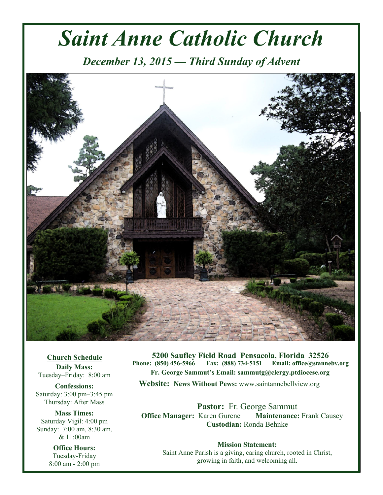# *Saint Anne Catholic Church*

*December 13, 2015 — Third Sunday of Advent* 



**Church Schedule Daily Mass:**  Tuesday–Friday: 8:00 am

**Confessions:**  Saturday: 3:00 pm–3:45 pm Thursday: After Mass

**Mass Times:**  Saturday Vigil: 4:00 pm Sunday: 7:00 am, 8:30 am, & 11:00am

> **Office Hours:**  Tuesday-Friday 8:00 am - 2:00 pm

**5200 Saufley Field Road Pensacola, Florida 32526 Phone: (850) 456-5966 Fax: (888) 734-5151 Email: office@stannebv.org Fr. George Sammut's Email: sammutg@clergy.ptdiocese.org Website: News Without Pews:** www.saintannebellview.org

**Pastor:** Fr. George Sammut **Office Manager: Karen Gurene Maintenance: Frank Causey Custodian:** Ronda Behnke

**Mission Statement:** Saint Anne Parish is a giving, caring church, rooted in Christ, growing in faith, and welcoming all.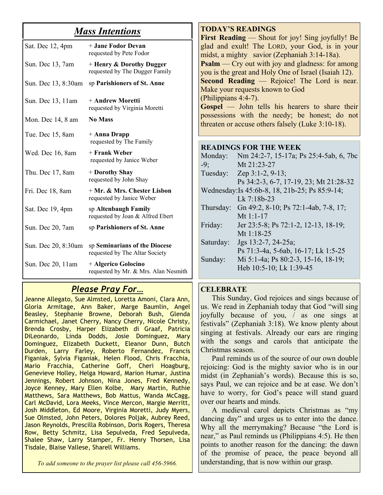# *Mass Intentions*

| Sat. Dec 12, 4pm    | + Jane Fodor Devan<br>requested by Pete Fodor                   |
|---------------------|-----------------------------------------------------------------|
| Sun. Dec 13, 7am    | + Henry & Dorothy Dugger<br>requested by The Dugger Family      |
| Sun. Dec 13, 8:30am | sp Parishioners of St. Anne                                     |
| Sun. Dec 13, 11 am  | + Andrew Moretti<br>requested by Virginia Moretti               |
| Mon. Dec 14, 8 am   | <b>No Mass</b>                                                  |
| Tue. Dec 15, 8am    | + Anna Drapp<br>requested by The Family                         |
| Wed. Dec 16, 8am    | + Frank Weber<br>requested by Janice Weber                      |
| Thu. Dec 17, 8am    | + Dorothy Shay<br>requested by John Shay                        |
| Fri. Dec 18, 8am    | + Mr. & Mrs. Chester Lisbon<br>requested by Janice Weber        |
| Sat. Dec 19, 4pm    | sp Altenbaugh Family<br>requested by Joan & Alfred Ebert        |
| Sun. Dec 20, 7am    | sp Parishioners of St. Anne                                     |
| Sun. Dec 20, 8:30am | sp Seminarians of the Diocese<br>requested by The Altar Society |
| Sun. Dec 20, 11am   | + Algerico Golocino<br>requested by Mr. & Mrs. Alan Nesmith     |

# *Please Pray For…*

Jeanne Allegato, Sue Almsted, Loretta Amoni, Clara Ann, Gloria Armitage, Ann Baker, Marge Baumlin, Angel Beasley, Stephanie Browne, Deborah Bush, Glenda Carmichael, Janet Cherry, Nancy Cherry, Nicole Christy, Brenda Crosby, Harper Elizabeth di Graaf, Patricia DiLeonardo, Linda Dodds, Josie Dominguez, Mary Dominguez, Elizabeth Duckett, Eleanor Dunn, Butch Durden, Larry Farley, Roberto Fernandez, Francis Figaniak, Sylvia Figaniak, Helen Flood, Chris Fracchia, Mario Fracchia, Catherine Goff, Cheri Hoagburg, Genevieve Holley, Helga Howard, Marion Humar, Justina Jennings, Robert Johnson, Nina Jones, Fred Kennedy, Joyce Kenney, Mary Ellen Kolbe, Mary Martin, Ruthie Matthews, Sara Matthews, Bob Mattus, Wanda McCagg, Carl McDavid, Lora Meeks, Vince Mercon, Margie Merritt, Josh Middleton, Ed Moore, Virginia Moretti, Judy Myers, Sue Olmsted, John Peters, Dolores Poljak, Aubrey Reed, Jason Reynolds, Prescilla Robinson, Doris Rogers, Theresa Row, Betty Schmitz, Lisa Sepulveda, Fred Sepulveda, Shalee Shaw, Larry Stamper, Fr. Henry Thorsen, Lisa Tisdale, Blaise Vallese, Sharell Williams.

*To add someone to the prayer list please call 456-5966.* 

**TODAY'S READINGS First Reading** — Shout for joy! Sing joyfully! Be glad and exult! The LORD, your God, is in your midst, a mighty savior (Zephaniah 3:14-18a). **Psalm** — Cry out with joy and gladness: for among you is the great and Holy One of Israel (Isaiah 12). **Second Reading** — Rejoice! The Lord is near. Make your requests known to God (Philippians 4:4-7). **Gospel** — John tells his hearers to share their possessions with the needy; be honest; do not threaten or accuse others falsely (Luke 3:10-18).

#### **READINGS FOR THE WEEK**

| Monday:                                        | Nm 24:2-7, 15-17a; Ps 25:4-5ab, 6, 7bc |  |
|------------------------------------------------|----------------------------------------|--|
| $-9:$                                          | Mt 21:23-27                            |  |
| Tuesday:                                       | Zep $3:1-2, 9-13$ ;                    |  |
|                                                | Ps 34:2-3, 6-7, 17-19, 23; Mt 21:28-32 |  |
| Wednesday: Is 45:6b-8, 18, 21b-25; Ps 85:9-14; |                                        |  |
|                                                | Lk 7:18b-23                            |  |
| Thursday:                                      | Gn 49:2, 8-10; Ps 72:1-4ab, 7-8, 17;   |  |
|                                                | Mt 1:1-17                              |  |
| Friday:                                        | Jer 23:5-8; Ps 72:1-2, 12-13, 18-19;   |  |
|                                                | Mt $1.18 - 25$                         |  |
| Saturday:                                      | Jgs $13:2-7$ , $24-25a$ ;              |  |
|                                                | Ps 71:3-4a, 5-6ab, 16-17; Lk 1:5-25    |  |
| Sunday:                                        | Mi 5:1-4a; Ps 80:2-3, 15-16, 18-19;    |  |
|                                                | Heb 10:5-10; Lk 1:39-45                |  |
|                                                |                                        |  |

#### **CELEBRATE**

 This Sunday, God rejoices and sings because of us. We read in Zephaniah today that God "will sing joyfully because of you, / as one sings at festivals" (Zephaniah 3:18). We know plenty about singing at festivals. Already our ears are ringing with the songs and carols that anticipate the Christmas season.

 Paul reminds us of the source of our own double rejoicing: God is the mighty savior who is in our midst (in Zephaniah's words). Because this is so, says Paul, we can rejoice and be at ease. We don't have to worry, for God's peace will stand guard over our hearts and minds.

 A medieval carol depicts Christmas as "my dancing day" and urges us to enter into the dance. Why all the merrymaking? Because "the Lord is near," as Paul reminds us (Philippians 4:5). He then points to another reason for the dancing: the dawn of the promise of peace, the peace beyond all understanding, that is now within our grasp.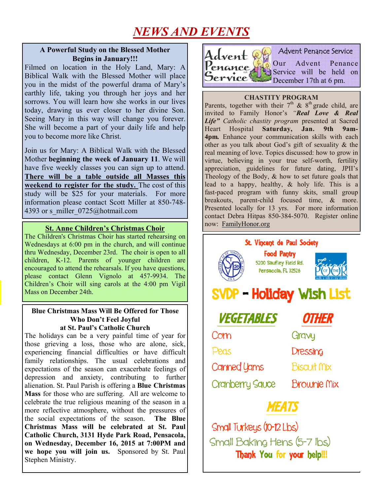# *NEWS AND EVENTS*

#### **A Powerful Study on the Blessed Mother Begins in January!!!**

Filmed on location in the Holy Land, Mary: A Biblical Walk with the Blessed Mother will place you in the midst of the powerful drama of Mary's earthly life, taking you through her joys and her sorrows. You will learn how she works in our lives today, drawing us ever closer to her divine Son. Seeing Mary in this way will change you forever. She will become a part of your daily life and help you to become more like Christ.

Join us for Mary: A Biblical Walk with the Blessed Mother **beginning the week of January 11**. We will have five weekly classes you can sign up to attend. **There will be a table outside all Masses this weekend to register for the study.** The cost of this study will be \$25 for your materials. For more information please contact Scott Miller at 850-748- 4393 or s\_miller\_0725@hotmail.com

# **St. Anne Children's Christmas Choir** now: FamilyHonor.org

The Children's Christmas Choir has started rehearsing on Wednesdays at 6:00 pm in the church, and will continue thru Wednesday, December 23rd. The choir is open to all children, K-12. Parents of younger children are encouraged to attend the rehearsals. If you have questions, please contact Glenn Vignolo at 457-9934. The Children's Choir will sing carols at the 4:00 pm Vigil Mass on December 24th.

#### **Blue Christmas Mass Will Be Offered for Those Who Don't Feel Joyful at St. Paul's Catholic Church**

The holidays can be a very painful time of year for those grieving a loss, those who are alone, sick, experiencing financial difficulties or have difficult family relationships. The usual celebrations and expectations of the season can exacerbate feelings of depression and anxiety, contributing to further alienation. St. Paul Parish is offering a **Blue Christmas Mass** for those who are suffering. All are welcome to celebrate the true religious meaning of the season in a more reflective atmosphere, without the pressures of the social expectations of the season. **The Blue Christmas Mass will be celebrated at St. Paul Catholic Church, 3131 Hyde Park Road, Pensacola, on Wednesday, December 16, 2015 at 7:00PM and we hope you will join us.** Sponsored by St. Paul Stephen Ministry.



#### **CHASTITY PROGRAM**

Parents, together with their  $7<sup>th</sup>$  &  $8<sup>th</sup>$  grade child, are invited to Family Honor's *"Real Love & Real Life" Catholic chastity program* presented at Sacred Heart Hospital **Saturday, Jan. 9th 9am-4pm***.* Enhance your communication skills with each other as you talk about God's gift of sexuality & the real meaning of love. Topics discussed: how to grow in virtue, believing in your true self-worth, fertility appreciation, guidelines for future dating, JPII's Theology of the Body,  $\&$  how to set future goals that lead to a happy, healthy, & holy life. This is a fast-paced program with funny skits, small group breakouts, parent-child focused time, & more. Presented locally for 13 yrs. For more information contact Debra Hitpas 850-384-5070. Register online



 Small Baking Hens (5-7 lbs) Thank You for your help!!!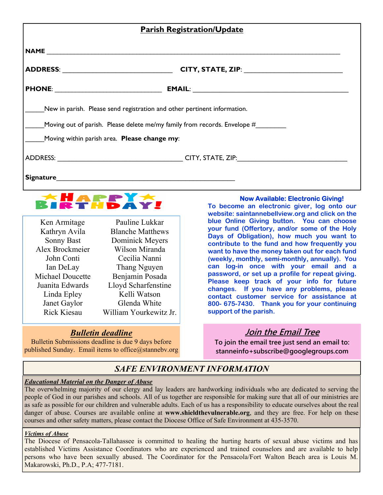| <b>Parish Registration/Update</b>                                                                                                                                                                                              |  |  |
|--------------------------------------------------------------------------------------------------------------------------------------------------------------------------------------------------------------------------------|--|--|
|                                                                                                                                                                                                                                |  |  |
|                                                                                                                                                                                                                                |  |  |
|                                                                                                                                                                                                                                |  |  |
| New in parish. Please send registration and other pertinent information.                                                                                                                                                       |  |  |
| Moving out of parish. Please delete me/my family from records. Envelope #                                                                                                                                                      |  |  |
| Moving within parish area. Please change my:                                                                                                                                                                                   |  |  |
|                                                                                                                                                                                                                                |  |  |
| Signature substitution of the state of the state of the state of the state of the state of the state of the state of the state of the state of the state of the state of the state of the state of the state of the state of t |  |  |



| Ken Armitage            | Pauline Lukkar          |
|-------------------------|-------------------------|
| Kathryn Avila           | <b>Blanche Matthews</b> |
| <b>Sonny Bast</b>       | Dominick Meyers         |
| Alex Brockmeier         | Wilson Miranda          |
| John Conti              | Cecilia Nanni           |
| Ian DeLay               | Thang Nguyen            |
| <b>Michael Doucette</b> | Benjamin Posada         |
| Juanita Edwards         | Lloyd Scharfenstine     |
| Linda Epley             | Kelli Watson            |
| Janet Gaylor            | Glenda White            |
| <b>Rick Kiesau</b>      | William Yourkewitz Jr.  |

## *Bulletin deadline*

Bulletin Submissions deadline is due 9 days before published Sunday. Email items to office@stannebv.org

#### **Now Available: Electronic Giving!**

**To become an electronic giver, log onto our website: saintannebellview.org and click on the blue Online Giving button. You can choose your fund (Offertory, and/or some of the Holy Days of Obligation), how much you want to contribute to the fund and how frequently you want to have the money taken out for each fund (weekly, monthly, semi-monthly, annually). You can log-in once with your email and a password, or set up a profile for repeat giving. Please keep track of your info for future changes. If you have any problems, please contact customer service for assistance at 800- 675-7430. Thank you for your continuing support of the parish.** 

## **Join the Email Tree**

**To join the email tree just send an email to: stanneinfo+subscribe@googlegroups.com** 

## *SAFE ENVIRONMENT INFORMATION*

#### *Educational Material on the Danger of Abuse*

The overwhelming majority of our clergy and lay leaders are hardworking individuals who are dedicated to serving the people of God in our parishes and schools. All of us together are responsible for making sure that all of our ministries are as safe as possible for our children and vulnerable adults. Each of us has a responsibility to educate ourselves about the real danger of abuse. Courses are available online at **www.shieldthevulnerable.org**, and they are free. For help on these courses and other safety matters, please contact the Diocese Office of Safe Environment at 435-3570.

#### *Victims of Abuse*

The Diocese of Pensacola-Tallahassee is committed to healing the hurting hearts of sexual abuse victims and has established Victims Assistance Coordinators who are experienced and trained counselors and are available to help persons who have been sexually abused. The Coordinator for the Pensacola/Fort Walton Beach area is Louis M. Makarowski, Ph.D., P.A; 477-7181.